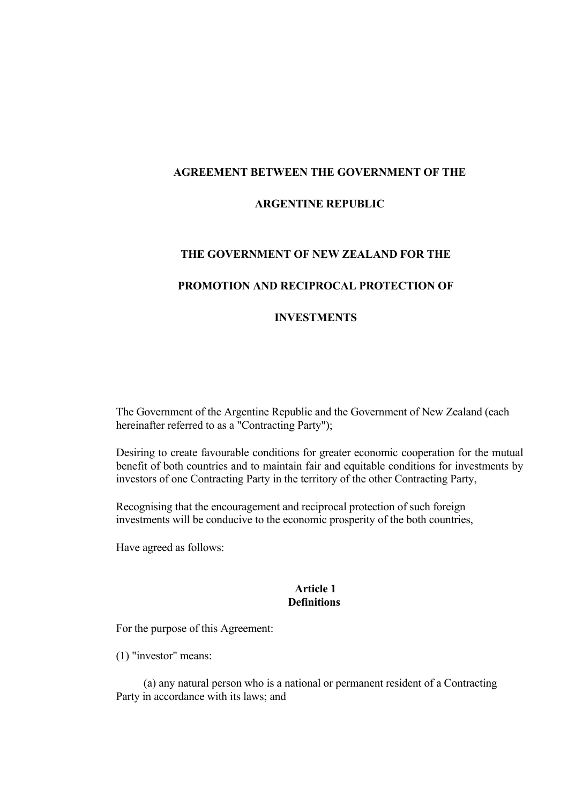### **AGREEMENT BETWEEN THE GOVERNMENT OF THE**

### **ARGENTINE REPUBLIC**

#### **THE GOVERNMENT OF NEW ZEALAND FOR THE**

### **PROMOTION AND RECIPROCAL PROTECTION OF**

#### **INVESTMENTS**

The Government of the Argentine Republic and the Government of New Zealand (each hereinafter referred to as a "Contracting Party");

Desiring to create favourable conditions for greater economic cooperation for the mutual benefit of both countries and to maintain fair and equitable conditions for investments by investors of one Contracting Party in the territory of the other Contracting Party,

Recognising that the encouragement and reciprocal protection of such foreign investments will be conducive to the economic prosperity of the both countries,

Have agreed as follows:

#### **Article 1 Definitions**

For the purpose of this Agreement:

(1) "investor" means:

(a) any natural person who is a national or permanent resident of a Contracting Party in accordance with its laws; and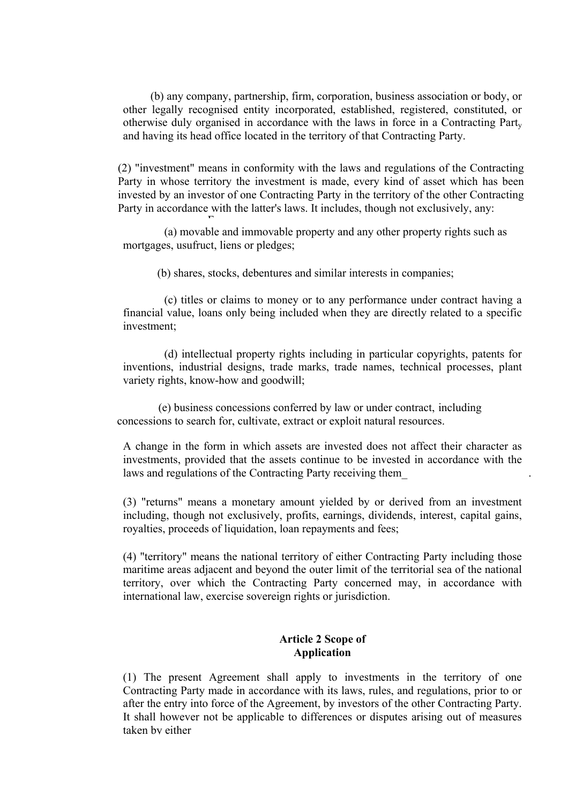(b) any company, partnership, firm, corporation, business association or body, or other legally recognised entity incorporated, established, registered, constituted, or otherwise duly organised in accordance with the laws in force in a Contracting Party and having its head office located in the territory of that Contracting Party.

(2) "investment" means in conformity with the laws and regulations of the Contracting Party in whose territory the investment is made, every kind of asset which has been invested by an investor of one Contracting Party in the territory of the other Contracting Party in accordance with the latter's laws. It includes, though not exclusively, any:

(a) movable and immovable property and any other property rights such as mortgages, usufruct, liens or pledges;

(b) shares, stocks, debentures and similar interests in companies;

F

(c) titles or claims to money or to any performance under contract having a financial value, loans only being included when they are directly related to a specific investment;

(d) intellectual property rights including in particular copyrights, patents for inventions, industrial designs, trade marks, trade names, technical processes, plant variety rights, know-how and goodwill;

(e) business concessions conferred by law or under contract, including concessions to search for, cultivate, extract or exploit natural resources.

A change in the form in which assets are invested does not affect their character as investments, provided that the assets continue to be invested in accordance with the laws and regulations of the Contracting Party receiving them\_ .

(3) "returns" means a monetary amount yielded by or derived from an investment including, though not exclusively, profits, earnings, dividends, interest, capital gains, royalties, proceeds of liquidation, loan repayments and fees;

(4) "territory" means the national territory of either Contracting Party including those maritime areas adjacent and beyond the outer limit of the territorial sea of the national territory, over which the Contracting Party concerned may, in accordance with international law, exercise sovereign rights or jurisdiction.

## **Article 2 Scope of Application**

(1) The present Agreement shall apply to investments in the territory of one Contracting Party made in accordance with its laws, rules, and regulations, prior to or after the entry into force of the Agreement, by investors of the other Contracting Party. It shall however not be applicable to differences or disputes arising out of measures taken by either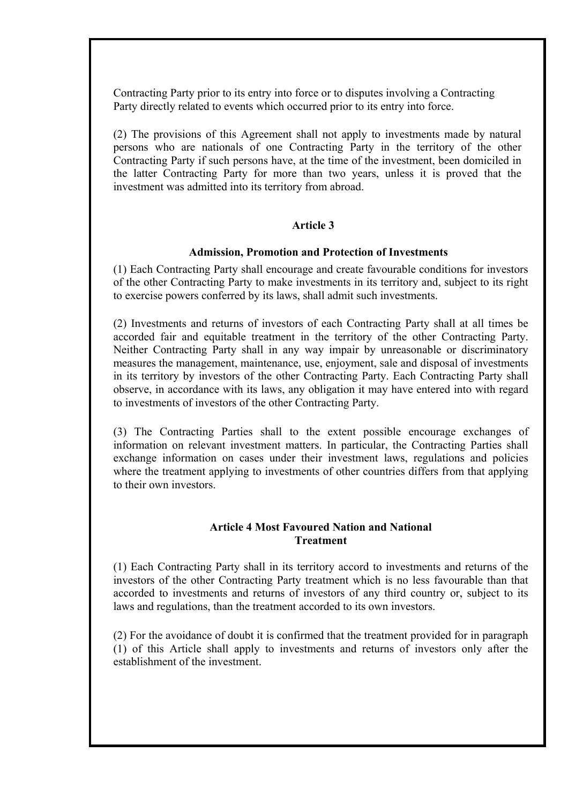Contracting Party prior to its entry into force or to disputes involving a Contracting Party directly related to events which occurred prior to its entry into force.

(2) The provisions of this Agreement shall not apply to investments made by natural persons who are nationals of one Contracting Party in the territory of the other Contracting Party if such persons have, at the time of the investment, been domiciled in the latter Contracting Party for more than two years, unless it is proved that the investment was admitted into its territory from abroad.

## **Article 3**

### **Admission, Promotion and Protection of Investments**

(1) Each Contracting Party shall encourage and create favourable conditions for investors of the other Contracting Party to make investments in its territory and, subject to its right to exercise powers conferred by its laws, shall admit such investments.

(2) Investments and returns of investors of each Contracting Party shall at all times be accorded fair and equitable treatment in the territory of the other Contracting Party. Neither Contracting Party shall in any way impair by unreasonable or discriminatory measures the management, maintenance, use, enjoyment, sale and disposal of investments in its territory by investors of the other Contracting Party. Each Contracting Party shall observe, in accordance with its laws, any obligation it may have entered into with regard to investments of investors of the other Contracting Party.

(3) The Contracting Parties shall to the extent possible encourage exchanges of information on relevant investment matters. In particular, the Contracting Parties shall exchange information on cases under their investment laws, regulations and policies where the treatment applying to investments of other countries differs from that applying to their own investors.

# **Article 4 Most Favoured Nation and National Treatment**

(1) Each Contracting Party shall in its territory accord to investments and returns of the investors of the other Contracting Party treatment which is no less favourable than that accorded to investments and returns of investors of any third country or, subject to its laws and regulations, than the treatment accorded to its own investors.

(2) For the avoidance of doubt it is confirmed that the treatment provided for in paragraph (1) of this Article shall apply to investments and returns of investors only after the establishment of the investment.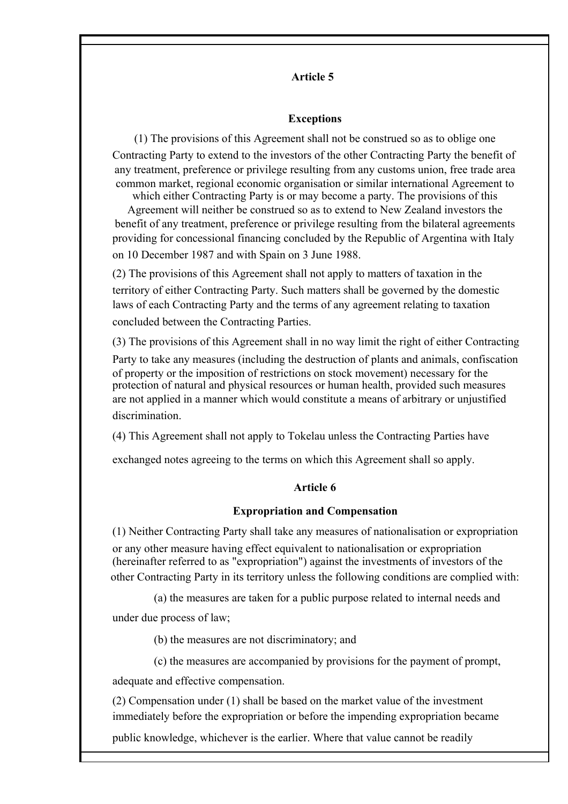# **Article 5**

### **Exceptions**

(1) The provisions of this Agreement shall not be construed so as to oblige one Contracting Party to extend to the investors of the other Contracting Party the benefit of any treatment, preference or privilege resulting from any customs union, free trade area common market, regional economic organisation or similar international Agreement to

which either Contracting Party is or may become a party. The provisions of this Agreement will neither be construed so as to extend to New Zealand investors the benefit of any treatment, preference or privilege resulting from the bilateral agreements providing for concessional financing concluded by the Republic of Argentina with Italy on 10 December 1987 and with Spain on 3 June 1988.

(2) The provisions of this Agreement shall not apply to matters of taxation in the territory of either Contracting Party. Such matters shall be governed by the domestic laws of each Contracting Party and the terms of any agreement relating to taxation concluded between the Contracting Parties.

(3) The provisions of this Agreement shall in no way limit the right of either Contracting

Party to take any measures (including the destruction of plants and animals, confiscation of property or the imposition of restrictions on stock movement) necessary for the protection of natural and physical resources or human health, provided such measures are not applied in a manner which would constitute a means of arbitrary or unjustified discrimination.

(4) This Agreement shall not apply to Tokelau unless the Contracting Parties have

exchanged notes agreeing to the terms on which this Agreement shall so apply.

### **Article 6**

#### **Expropriation and Compensation**

(1) Neither Contracting Party shall take any measures of nationalisation or expropriation or any other measure having effect equivalent to nationalisation or expropriation (hereinafter referred to as "expropriation") against the investments of investors of the other Contracting Party in its territory unless the following conditions are complied with:

(a) the measures are taken for a public purpose related to internal needs and

under due process of law;

(b) the measures are not discriminatory; and

(c) the measures are accompanied by provisions for the payment of prompt,

adequate and effective compensation.

(2) Compensation under (1) shall be based on the market value of the investment immediately before the expropriation or before the impending expropriation became

public knowledge, whichever is the earlier. Where that value cannot be readily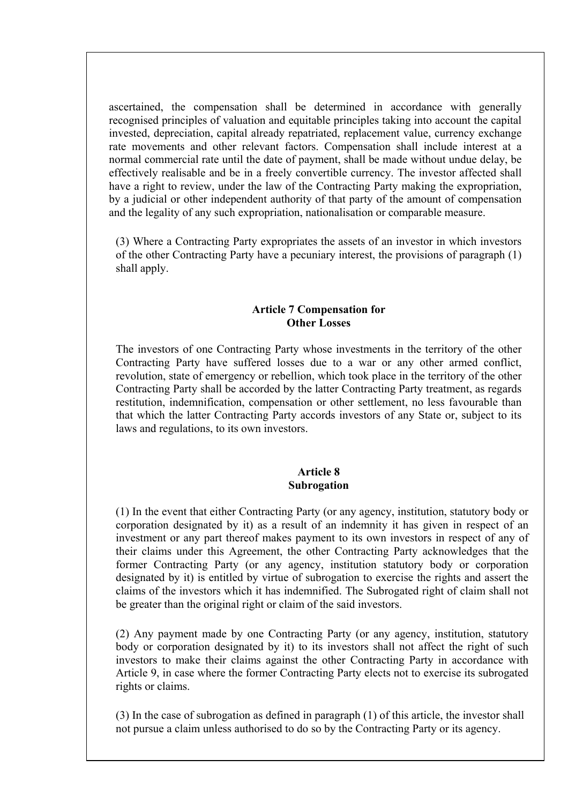ascertained, the compensation shall be determined in accordance with generally recognised principles of valuation and equitable principles taking into account the capital invested, depreciation, capital already repatriated, replacement value, currency exchange rate movements and other relevant factors. Compensation shall include interest at a normal commercial rate until the date of payment, shall be made without undue delay, be effectively realisable and be in a freely convertible currency. The investor affected shall have a right to review, under the law of the Contracting Party making the expropriation, by a judicial or other independent authority of that party of the amount of compensation and the legality of any such expropriation, nationalisation or comparable measure.

(3) Where a Contracting Party expropriates the assets of an investor in which investors of the other Contracting Party have a pecuniary interest, the provisions of paragraph (1) shall apply.

## **Article 7 Compensation for Other Losses**

The investors of one Contracting Party whose investments in the territory of the other Contracting Party have suffered losses due to a war or any other armed conflict, revolution, state of emergency or rebellion, which took place in the territory of the other Contracting Party shall be accorded by the latter Contracting Party treatment, as regards restitution, indemnification, compensation or other settlement, no less favourable than that which the latter Contracting Party accords investors of any State or, subject to its laws and regulations, to its own investors.

# **Article 8 Subrogation**

(1) In the event that either Contracting Party (or any agency, institution, statutory body or corporation designated by it) as a result of an indemnity it has given in respect of an investment or any part thereof makes payment to its own investors in respect of any of their claims under this Agreement, the other Contracting Party acknowledges that the former Contracting Party (or any agency, institution statutory body or corporation designated by it) is entitled by virtue of subrogation to exercise the rights and assert the claims of the investors which it has indemnified. The Subrogated right of claim shall not be greater than the original right or claim of the said investors.

(2) Any payment made by one Contracting Party (or any agency, institution, statutory body or corporation designated by it) to its investors shall not affect the right of such investors to make their claims against the other Contracting Party in accordance with Article 9, in case where the former Contracting Party elects not to exercise its subrogated rights or claims.

(3) In the case of subrogation as defined in paragraph (1) of this article, the investor shall not pursue a claim unless authorised to do so by the Contracting Party or its agency.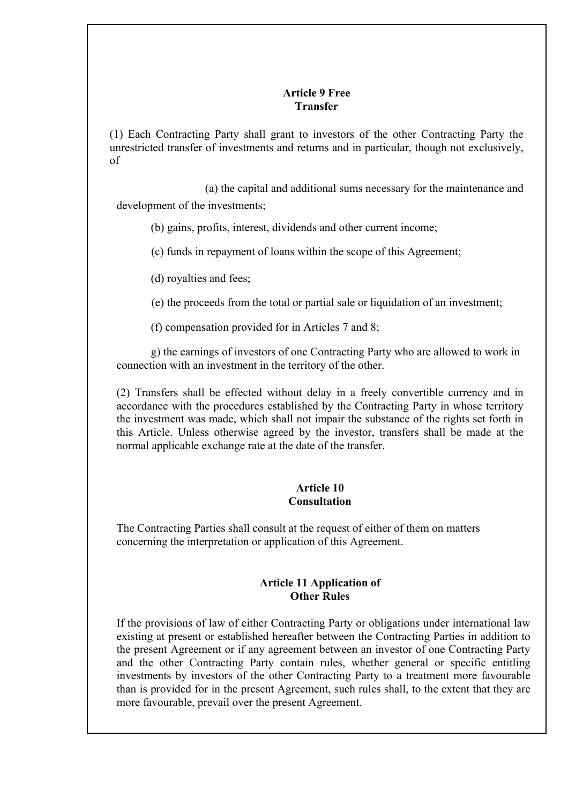# **Article 9 Free Transfer**

(1) Each Contracting Party shall grant to investors of the other Contracting Party the unrestricted transfer of investments and returns and in particular, though not exclusively, of

development of the investments; (a) the capital and additional sums necessary for the maintenance and

- (b) gains, profits, interest, dividends and other current income;
- (c) funds in repayment of loans within the scope of this Agreement;
- (d) royalties and fees;

(e) the proceeds from the total or partial sale or liquidation of an investment;

(f) compensation provided for in Articles 7 and 8;

g) the earnings of investors of one Contracting Party who are allowed to work in connection with an investment in the territory of the other.

(2) Transfers shall be effected without delay in a freely convertible currency and in accordance with the procedures established by the Contracting Party in whose territory the investment was made, which shall not impair the substance of the rights set forth in this Article. Unless otherwise agreed by the investor, transfers shall be made at the normal applicable exchange rate at the date of the transfer.

# **Article 10 Consultation**

The Contracting Parties shall consult at the request of either of them on matters concerning the interpretation or application of this Agreement.

# **Article 11 Application of Other Rules**

If the provisions of law of either Contracting Party or obligations under international law existing at present or established hereafter between the Contracting Parties in addition to the present Agreement or if any agreement between an investor of one Contracting Party and the other Contracting Party contain rules, whether general or specific entitling investments by investors of the other Contracting Party to a treatment more favourable than is provided for in the present Agreement, such rules shall, to the extent that they are more favourable, prevail over the present Agreement.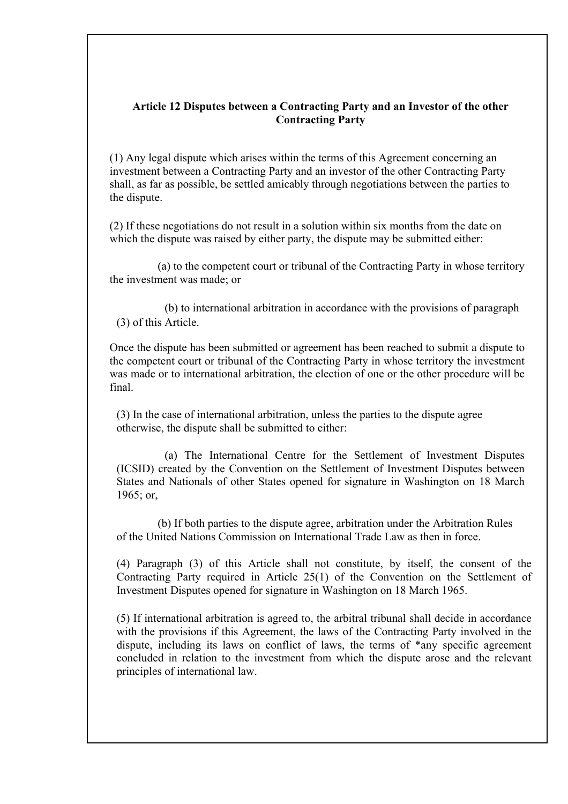# **Article 12 Disputes between a Contracting Party and an Investor of the other Contracting Party**

(1) Any legal dispute which arises within the terms of this Agreement concerning an investment between a Contracting Party and an investor of the other Contracting Party shall, as far as possible, be settled amicably through negotiations between the parties to the dispute.

(2) If these negotiations do not result in a solution within six months from the date on which the dispute was raised by either party, the dispute may be submitted either:

(a) to the competent court or tribunal of the Contracting Party in whose territory the investment was made; or

(b) to international arbitration in accordance with the provisions of paragraph (3) of this Article.

Once the dispute has been submitted or agreement has been reached to submit a dispute to the competent court or tribunal of the Contracting Party in whose territory the investment was made or to international arbitration, the election of one or the other procedure will be final.

(3) In the case of international arbitration, unless the parties to the dispute agree otherwise, the dispute shall be submitted to either:

(a) The International Centre for the Settlement of Investment Disputes (ICSID) created by the Convention on the Settlement of Investment Disputes between States and Nationals of other States opened for signature in Washington on 18 March 1965; or,

(b) If both parties to the dispute agree, arbitration under the Arbitration Rules of the United Nations Commission on International Trade Law as then in force.

(4) Paragraph (3) of this Article shall not constitute, by itself, the consent of the Contracting Party required in Article 25(1) of the Convention on the Settlement of Investment Disputes opened for signature in Washington on 18 March 1965.

(5) If international arbitration is agreed to, the arbitral tribunal shall decide in accordance with the provisions if this Agreement, the laws of the Contracting Party involved in the dispute, including its laws on conflict of laws, the terms of \*any specific agreement concluded in relation to the investment from which the dispute arose and the relevant principles of international law.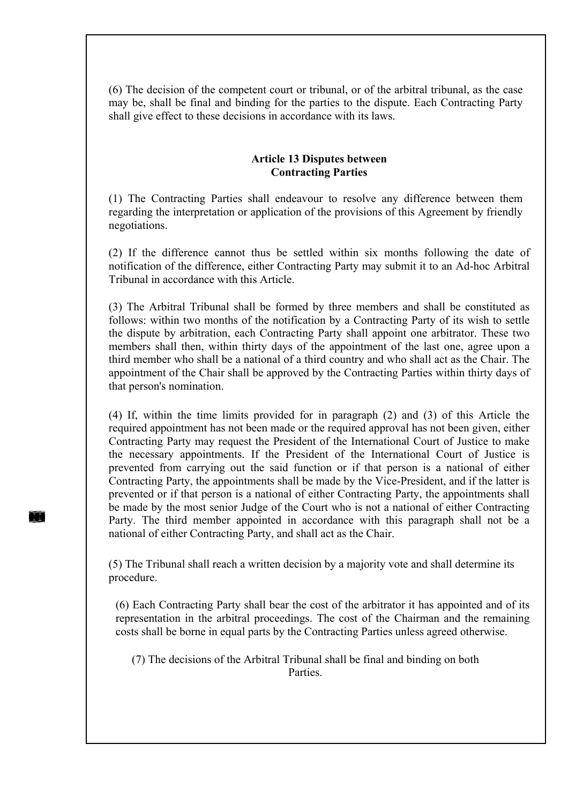(6) The decision of the competent court or tribunal, or of the arbitral tribunal, as the case may be, shall be final and binding for the parties to the dispute. Each Contracting Party shall give effect to these decisions in accordance with its laws.

## **Article 13 Disputes between Contracting Parties**

(1) The Contracting Parties shall endeavour to resolve any difference between them regarding the interpretation or application of the provisions of this Agreement by friendly negotiations.

(2) If the difference cannot thus be settled within six months following the date of notification of the difference, either Contracting Party may submit it to an Ad-hoc Arbitral Tribunal in accordance with this Article.

(3) The Arbitral Tribunal shall be formed by three members and shall be constituted as follows: within two months of the notification by a Contracting Party of its wish to settle the dispute by arbitration, each Contracting Party shall appoint one arbitrator. These two members shall then, within thirty days of the appointment of the last one, agree upon a third member who shall be a national of a third country and who shall act as the Chair. The appointment of the Chair shall be approved by the Contracting Parties within thirty days of that person's nomination.

(4) If, within the time limits provided for in paragraph (2) and (3) of this Article the required appointment has not been made or the required approval has not been given, either Contracting Party may request the President of the International Court of Justice to make the necessary appointments. If the President of the International Court of Justice is prevented from carrying out the said function or if that person is a national of either Contracting Party, the appointments shall be made by the Vice-President, and if the latter is prevented or if that person is a national of either Contracting Party, the appointments shall be made by the most senior Judge of the Court who is not a national of either Contracting Party. The third member appointed in accordance with this paragraph shall not be a national of either Contracting Party, and shall act as the Chair.

(5) The Tribunal shall reach a written decision by a majority vote and shall determine its procedure.

(6) Each Contracting Party shall bear the cost of the arbitrator it has appointed and of its representation in the arbitral proceedings. The cost of the Chairman and the remaining costs shall be borne in equal parts by the Contracting Parties unless agreed otherwise.

(7) The decisions of the Arbitral Tribunal shall be final and binding on both **Parties**